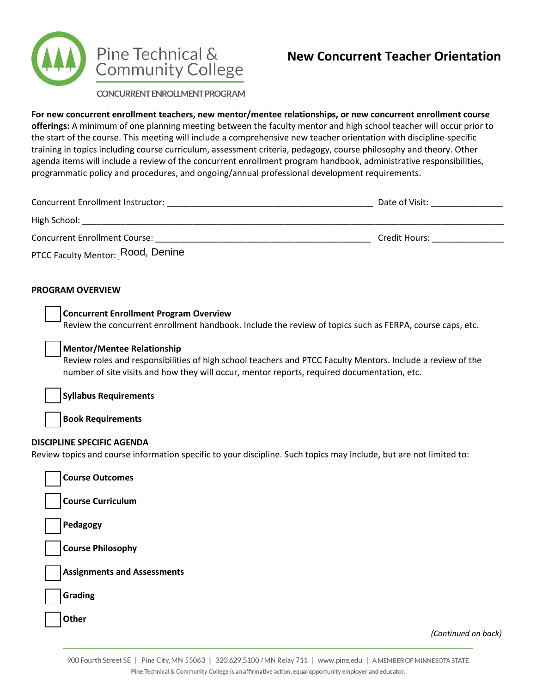

# **New Concurrent Teacher Orientation**

CONCURRENT ENROLLMENT PROGRAM

**For new concurrent enrollment teachers, new mentor/mentee relationships, or new concurrent enrollment course offerings:** A minimum of one planning meeting between the faculty mentor and high school teacher will occur prior to the start of the course. This meeting will include a comprehensive new teacher orientation with discipline-specific training in topics including course curriculum, assessment criteria, pedagogy, course philosophy and theory. Other agenda items will include a review of the concurrent enrollment program handbook, administrative responsibilities, programmatic policy and procedures, and ongoing/annual professional development requirements.

| Concurrent Enrollment Instructor:    | Date of Visit: |
|--------------------------------------|----------------|
| High School:                         |                |
| <b>Concurrent Enrollment Course:</b> | Credit Hours:  |
| PTCC Faculty Mentor: Rood, Denine    |                |

#### **PROGRAM OVERVIEW**

| <b>Concurrent Enrollment Program Overview</b> |                                                                                                          |
|-----------------------------------------------|----------------------------------------------------------------------------------------------------------|
|                                               | Review the concurrent enrollment handbook. Include the review of topics such as FERPA, course caps, etc. |

#### **Mentor/Mentee Relationship**

Review roles and responsibilities of high school teachers and PTCC Faculty Mentors. Include a review of the number of site visits and how they will occur, mentor reports, required documentation, etc.

**Syllabus Requirements**

**Book Requirements**

### **DISCIPLINE SPECIFIC AGENDA**

Review topics and course information specific to your discipline. Such topics may include, but are not limited to:

| <b>Course Outcomes</b>             |
|------------------------------------|
| Course Curriculum                  |
| Pedagogy                           |
| Course Philosophy                  |
| <b>Assignments and Assessments</b> |
| Grading                            |
|                                    |

**Other**

*(Continued on back)*